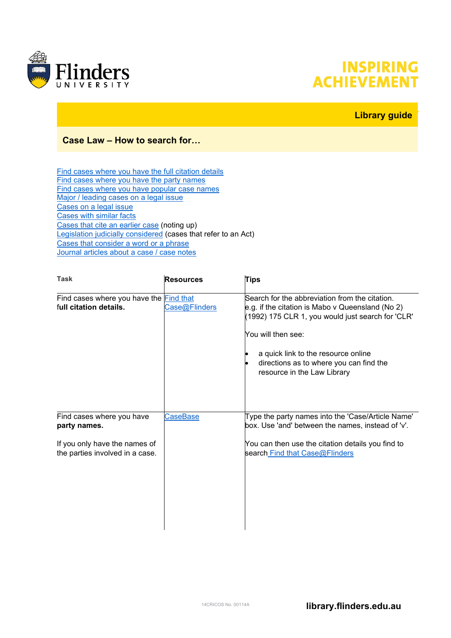

## **INSPIRING ACHIEVEMENT**

## **Library guide**

## **Case Law – How to search for…**

[Find cases where you have the full citation details](#page-0-0) [Find cases where you have the party names](#page-0-1) [Find cases where you have popular case names](#page-1-0) [Major / leading cases on a legal issue](#page-2-0) [Cases on a legal issue](#page-2-1) [Cases with similar facts](#page-2-2) [Cases that cite an earlier case](#page-2-3) (noting up) [Legislation judicially considered](#page-3-0) (cases that refer to an Act) [Cases that consider a word or a phrase](#page-3-1) [Journal articles about a case / case notes](#page-3-2)

<span id="page-0-1"></span><span id="page-0-0"></span>

| <b>Task</b>                                                       | <b>Resources</b> | <b>Tips</b>                                                                                                                                                                                                                                                                                    |
|-------------------------------------------------------------------|------------------|------------------------------------------------------------------------------------------------------------------------------------------------------------------------------------------------------------------------------------------------------------------------------------------------|
| Find cases where you have the Find that<br>full citation details. | Case@Flinders    | Search for the abbreviation from the citation.<br>e.g. if the citation is Mabo v Queensland (No 2)<br>(1992) 175 CLR 1, you would just search for 'CLR'<br>You will then see:<br>a quick link to the resource online<br>directions as to where you can find the<br>resource in the Law Library |
| Find cases where you have<br>party names.                         | CaseBase         | Type the party names into the 'Case/Article Name'<br>box. Use 'and' between the names, instead of 'v'.                                                                                                                                                                                         |
| If you only have the names of<br>the parties involved in a case.  |                  | You can then use the citation details you find to<br>search Find that Case@Flinders                                                                                                                                                                                                            |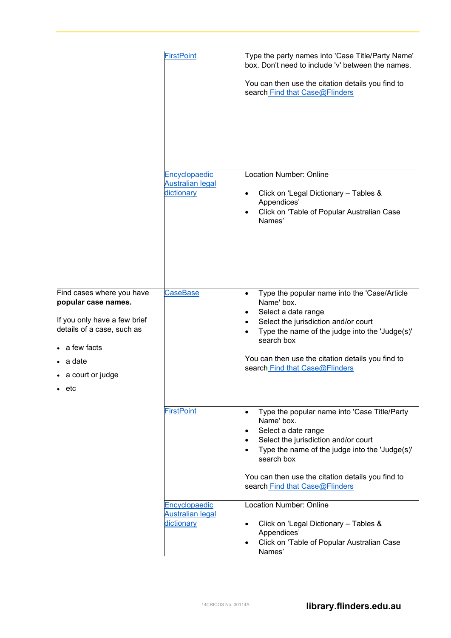<span id="page-1-0"></span>

|                                                                                                                                                                                       | <b>FirstPoint</b>                                      | Type the party names into 'Case Title/Party Name'<br>box. Don't need to include 'v' between the names.<br>You can then use the citation details you find to<br>search Find that Case@Flinders                                                                                    |
|---------------------------------------------------------------------------------------------------------------------------------------------------------------------------------------|--------------------------------------------------------|----------------------------------------------------------------------------------------------------------------------------------------------------------------------------------------------------------------------------------------------------------------------------------|
|                                                                                                                                                                                       | Encyclopaedic<br><b>Australian legal</b><br>dictionary | <b>Location Number: Online</b><br>Click on 'Legal Dictionary - Tables &<br>Appendices'<br>Click on 'Table of Popular Australian Case<br>Names'                                                                                                                                   |
| Find cases where you have<br>popular case names.<br>If you only have a few brief<br>details of a case, such as<br>• a few facts<br>• a date<br>• a court or judge<br>etc<br>$\bullet$ | <b>CaseBase</b>                                        | Type the popular name into the 'Case/Article<br>Name' box.<br>Select a date range<br>Select the jurisdiction and/or court<br>Type the name of the judge into the 'Judge(s)'<br>search box<br>You can then use the citation details you find to<br>search Find that Case@Flinders |
|                                                                                                                                                                                       | <b>FirstPoint</b>                                      | Type the popular name into 'Case Title/Party<br>Name' box.<br>Select a date range<br>Select the jurisdiction and/or court<br>Type the name of the judge into the 'Judge(s)'<br>search box<br>You can then use the citation details you find to<br>search Find that Case@Flinders |
|                                                                                                                                                                                       | Encyclopaedic<br><b>Australian legal</b><br>dictionary | <b>Location Number: Online</b><br>Click on 'Legal Dictionary - Tables &<br>Appendices'<br>Click on 'Table of Popular Australian Case<br>Names'                                                                                                                                   |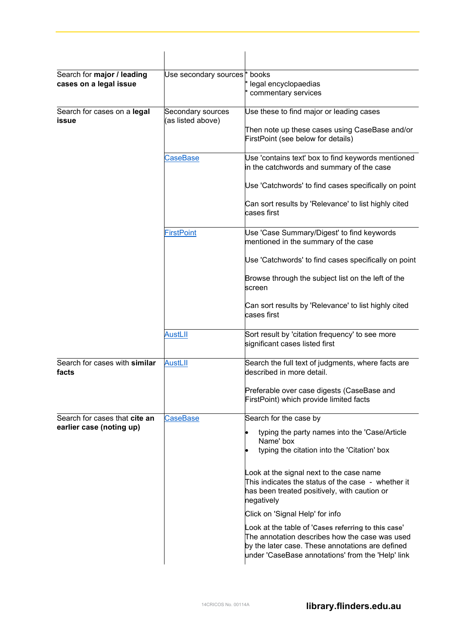<span id="page-2-3"></span><span id="page-2-2"></span><span id="page-2-1"></span><span id="page-2-0"></span>

| Search for major / leading<br>cases on a legal issue      | Use secondary sources <sup>*</sup> books | legal encyclopaedias<br>commentary services                                                                                                                                                                    |
|-----------------------------------------------------------|------------------------------------------|----------------------------------------------------------------------------------------------------------------------------------------------------------------------------------------------------------------|
| Search for cases on a legal<br>issue                      | Secondary sources<br>(as listed above)   | Use these to find major or leading cases<br>Then note up these cases using CaseBase and/or<br>FirstPoint (see below for details)                                                                               |
|                                                           | CaseBase                                 | Use 'contains text' box to find keywords mentioned<br>in the catchwords and summary of the case                                                                                                                |
|                                                           |                                          | Use 'Catchwords' to find cases specifically on point                                                                                                                                                           |
|                                                           |                                          | Can sort results by 'Relevance' to list highly cited<br>cases first                                                                                                                                            |
|                                                           | <b>FirstPoint</b>                        | Use 'Case Summary/Digest' to find keywords<br>mentioned in the summary of the case                                                                                                                             |
|                                                           |                                          | Use 'Catchwords' to find cases specifically on point                                                                                                                                                           |
|                                                           |                                          | Browse through the subject list on the left of the<br>screen                                                                                                                                                   |
|                                                           |                                          | Can sort results by 'Relevance' to list highly cited<br>cases first                                                                                                                                            |
|                                                           | <u>AustLII</u>                           | Sort result by 'citation frequency' to see more<br>significant cases listed first                                                                                                                              |
| Search for cases with similar<br>facts                    | <b>AustLII</b>                           | Search the full text of judgments, where facts are<br>described in more detail.                                                                                                                                |
|                                                           |                                          | Preferable over case digests (CaseBase and<br>FirstPoint) which provide limited facts                                                                                                                          |
| Search for cases that cite an<br>earlier case (noting up) | <b>CaseBase</b>                          | Search for the case by                                                                                                                                                                                         |
|                                                           |                                          | typing the party names into the 'Case/Article<br>Name' box<br>typing the citation into the 'Citation' box                                                                                                      |
|                                                           |                                          | Look at the signal next to the case name<br>This indicates the status of the case - whether it<br>has been treated positively, with caution or<br>negatively                                                   |
|                                                           |                                          | Click on 'Signal Help' for info                                                                                                                                                                                |
|                                                           |                                          | Look at the table of 'Cases referring to this case'<br>The annotation describes how the case was used<br>by the later case. These annotations are defined<br>under 'CaseBase annotations' from the 'Help' link |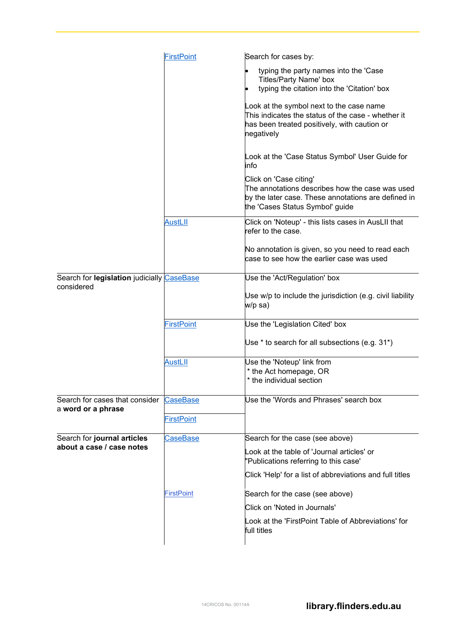<span id="page-3-2"></span><span id="page-3-1"></span><span id="page-3-0"></span>

|                                                          | <b>FirstPoint</b>                    | Search for cases by:                                                                                                                                                |
|----------------------------------------------------------|--------------------------------------|---------------------------------------------------------------------------------------------------------------------------------------------------------------------|
|                                                          |                                      | typing the party names into the 'Case<br>$\bullet$<br>Titles/Party Name' box<br>typing the citation into the 'Citation' box                                         |
|                                                          |                                      | Look at the symbol next to the case name<br>This indicates the status of the case - whether it<br>has been treated positively, with caution or<br>negatively        |
|                                                          |                                      | Look at the 'Case Status Symbol' User Guide for<br>linfo                                                                                                            |
|                                                          |                                      | Click on 'Case citing'<br>The annotations describes how the case was used<br>by the later case. These annotations are defined in<br>the 'Cases Status Symbol' guide |
|                                                          | <b>AustLII</b>                       | Click on 'Noteup' - this lists cases in AusLII that<br>refer to the case.                                                                                           |
|                                                          |                                      | No annotation is given, so you need to read each<br>lcase to see how the earlier case was used                                                                      |
| Search for legislation judicially CaseBase               |                                      | Use the 'Act/Regulation' box                                                                                                                                        |
| considered                                               |                                      | Use w/p to include the jurisdiction (e.g. civil liability<br>w/p sa)                                                                                                |
|                                                          | <b>FirstPoint</b>                    | Use the 'Legislation Cited' box                                                                                                                                     |
|                                                          |                                      | Use $*$ to search for all subsections (e.g. 31 $*$ )                                                                                                                |
|                                                          | <b>AustLII</b>                       | Use the 'Noteup' link from<br>* the Act homepage, OR<br>* the individual section                                                                                    |
| Search for cases that consider<br>a word or a phrase     | <b>CaseBase</b><br><b>FirstPoint</b> | Use the 'Words and Phrases' search box                                                                                                                              |
| Search for journal articles<br>about a case / case notes | <b>CaseBase</b>                      | Search for the case (see above)                                                                                                                                     |
|                                                          |                                      | Look at the table of 'Journal articles' or<br>"Publications referring to this case"                                                                                 |
|                                                          |                                      | Click 'Help' for a list of abbreviations and full titles                                                                                                            |
|                                                          | <b>FirstPoint</b>                    | Search for the case (see above)                                                                                                                                     |
|                                                          |                                      | Click on 'Noted in Journals'                                                                                                                                        |
|                                                          |                                      | Look at the 'FirstPoint Table of Abbreviations' for<br>full titles                                                                                                  |
|                                                          |                                      |                                                                                                                                                                     |